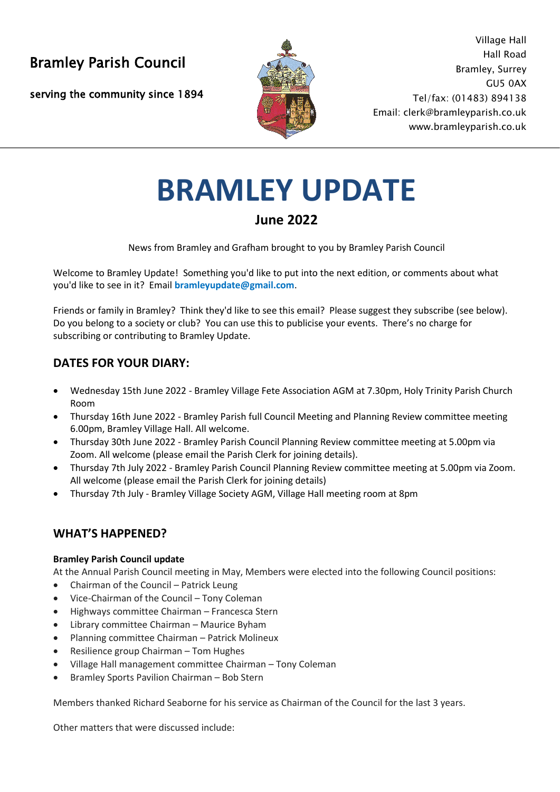serving the community since 1894



Bramley Parish Council and the season of the Bramley Parish Council Village Hall Bramley, Surrey GU5 0AX Tel/fax: (01483) 894138 Email: clerk@bramleyparish.co.uk [www.bramleyparish.co.uk](http://www.bramleyparish.co.uk/)

# **BRAMLEY UPDATE**

## **June 2022**

News from Bramley and Grafham brought to you by Bramley Parish Council

Welcome to Bramley Update! Something you'd like to put into the next edition, or comments about what you'd like to see in it? Email **bramleyupdate@gmail.com**.

Friends or family in Bramley? Think they'd like to see this email? Please suggest they subscribe (see below). Do you belong to a society or club? You can use this to publicise your events. There's no charge for subscribing or contributing to Bramley Update.

## **DATES FOR YOUR DIARY:**

- Wednesday 15th June 2022 Bramley Village Fete Association AGM at 7.30pm, Holy Trinity Parish Church Room
- Thursday 16th June 2022 Bramley Parish full Council Meeting and Planning Review committee meeting 6.00pm, Bramley Village Hall. All welcome.
- Thursday 30th June 2022 Bramley Parish Council Planning Review committee meeting at 5.00pm via Zoom. All welcome (please email the Parish Clerk for joining details).
- Thursday 7th July 2022 Bramley Parish Council Planning Review committee meeting at 5.00pm via Zoom. All welcome (please email the Parish Clerk for joining details)
- Thursday 7th July Bramley Village Society AGM, Village Hall meeting room at 8pm

## **WHAT'S HAPPENED?**

#### **Bramley Parish Council update**

At the Annual Parish Council meeting in May, Members were elected into the following Council positions:

- Chairman of the Council Patrick Leung
- Vice-Chairman of the Council Tony Coleman
- Highways committee Chairman Francesca Stern
- Library committee Chairman Maurice Byham
- Planning committee Chairman Patrick Molineux
- Resilience group Chairman Tom Hughes
- Village Hall management committee Chairman Tony Coleman
- Bramley Sports Pavilion Chairman Bob Stern

Members thanked Richard Seaborne for his service as Chairman of the Council for the last 3 years.

Other matters that were discussed include: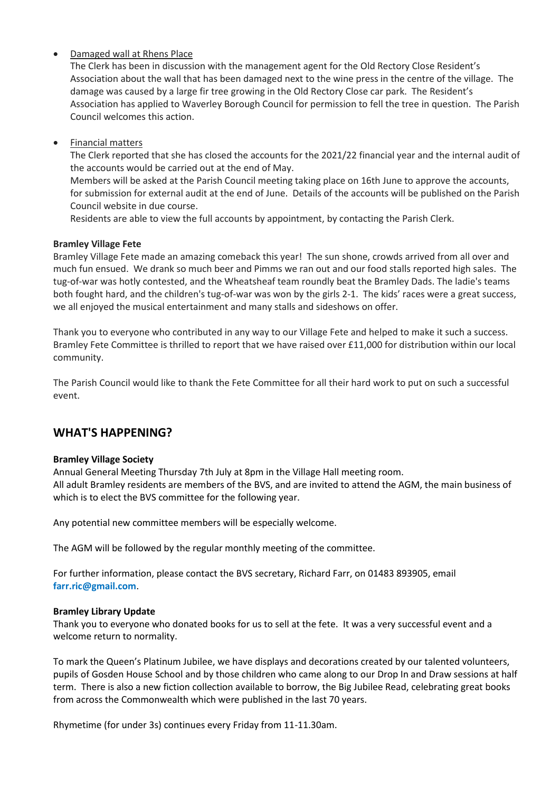#### • Damaged wall at Rhens Place

The Clerk has been in discussion with the management agent for the Old Rectory Close Resident's Association about the wall that has been damaged next to the wine press in the centre of the village. The damage was caused by a large fir tree growing in the Old Rectory Close car park. The Resident's Association has applied to Waverley Borough Council for permission to fell the tree in question. The Parish Council welcomes this action.

• Financial matters

The Clerk reported that she has closed the accounts for the 2021/22 financial year and the internal audit of the accounts would be carried out at the end of May.

Members will be asked at the Parish Council meeting taking place on 16th June to approve the accounts, for submission for external audit at the end of June. Details of the accounts will be published on the Parish Council website in due course.

Residents are able to view the full accounts by appointment, by contacting the Parish Clerk.

#### **Bramley Village Fete**

Bramley Village Fete made an amazing comeback this year! The sun shone, crowds arrived from all over and much fun ensued. We drank so much beer and Pimms we ran out and our food stalls reported high sales. The tug-of-war was hotly contested, and the Wheatsheaf team roundly beat the Bramley Dads. The ladie's teams both fought hard, and the children's tug-of-war was won by the girls 2-1. The kids' races were a great success, we all enjoyed the musical entertainment and many stalls and sideshows on offer.

Thank you to everyone who contributed in any way to our Village Fete and helped to make it such a success. Bramley Fete Committee is thrilled to report that we have raised over £11,000 for distribution within our local community.

The Parish Council would like to thank the Fete Committee for all their hard work to put on such a successful event.

### **WHAT'S HAPPENING?**

#### **Bramley Village Society**

Annual General Meeting Thursday 7th July at 8pm in the Village Hall meeting room. All adult Bramley residents are members of the BVS, and are invited to attend the AGM, the main business of which is to elect the BVS committee for the following year.

Any potential new committee members will be especially welcome.

The AGM will be followed by the regular monthly meeting of the committee.

For further information, please contact the BVS secretary, Richard Farr, on 01483 893905, email **farr.ric@gmail.com**.

#### **Bramley Library Update**

Thank you to everyone who donated books for us to sell at the fete. It was a very successful event and a welcome return to normality.

To mark the Queen's Platinum Jubilee, we have displays and decorations created by our talented volunteers, pupils of Gosden House School and by those children who came along to our Drop In and Draw sessions at half term. There is also a new fiction collection available to borrow, the Big Jubilee Read, celebrating great books from across the Commonwealth which were published in the last 70 years.

Rhymetime (for under 3s) continues every Friday from 11-11.30am.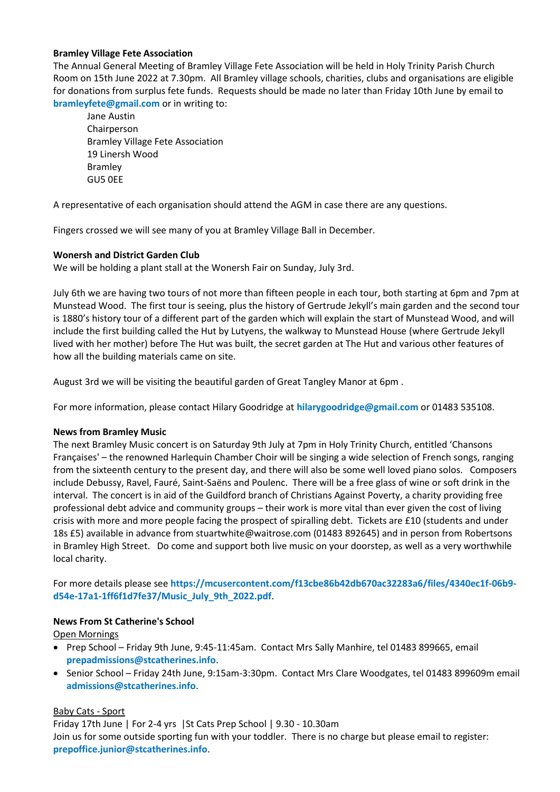#### **Bramley Village Fete Association**

The Annual General Meeting of Bramley Village Fete Association will be held in Holy Trinity Parish Church Room on 15th June 2022 at 7.30pm. All Bramley village schools, charities, clubs and organisations are eligible for donations from surplus fete funds. Requests should be made no later than Friday 10th June by email to **bramleyfete@gmail.com** or in writing to:

Jane Austin Chairperson Bramley Village Fete Association 19 Linersh Wood Bramley GU5 0EE

A representative of each organisation should attend the AGM in case there are any questions.

Fingers crossed we will see many of you at Bramley Village Ball in December.

#### **Wonersh and District Garden Club**

We will be holding a plant stall at the Wonersh Fair on Sunday, July 3rd.

July 6th we are having two tours of not more than fifteen people in each tour, both starting at 6pm and 7pm at Munstead Wood. The first tour is seeing, plus the history of Gertrude Jekyll's main garden and the second tour is 1880's history tour of a different part of the garden which will explain the start of Munstead Wood, and will include the first building called the Hut by Lutyens, the walkway to Munstead House (where Gertrude Jekyll lived with her mother) before The Hut was built, the secret garden at The Hut and various other features of how all the building materials came on site.

August 3rd we will be visiting the beautiful garden of Great Tangley Manor at 6pm .

For more information, please contact Hilary Goodridge at **hilarygoodridge@gmail.com** or 01483 535108.

#### **News from Bramley Music**

The next Bramley Music concert is on Saturday 9th July at 7pm in Holy Trinity Church, entitled 'Chansons Françaises' – the renowned Harlequin Chamber Choir will be singing a wide selection of French songs, ranging from the sixteenth century to the present day, and there will also be some well loved piano solos. Composers include Debussy, Ravel, Fauré, Saint-Saëns and Poulenc. There will be a free glass of wine or soft drink in the interval. The concert is in aid of the Guildford branch of Christians Against Poverty, a charity providing free professional debt advice and community groups – their work is more vital than ever given the cost of living crisis with more and more people facing the prospect of spiralling debt. Tickets are £10 (students and under 18s £5) available in advance from stuartwhite@waitrose.com (01483 892645) and in person from Robertsons in Bramley High Street. Do come and support both live music on your doorstep, as well as a very worthwhile local charity.

For more details please see **https://mcusercontent.com/f13cbe86b42db670ac32283a6/files/4340ec1f-06b9 d54e-17a1-1ff6f1d7fe37/Music\_July\_9th\_2022.pdf**.

#### **News From St Catherine's School**

Open Mornings

- Prep School Friday 9th June, 9:45-11:45am. Contact Mrs Sally Manhire, tel 01483 899665, email **prepadmissions@stcatherines.info**.
- Senior School Friday 24th June, 9:15am-3:30pm. Contact Mrs Clare Woodgates, tel 01483 899609m email **admissions@stcatherines.info**.

#### Baby Cats - Sport

Friday 17th June | For 2-4 yrs |St Cats Prep School | 9.30 - 10.30am Join us for some outside sporting fun with your toddler. There is no charge but please email to register: **prepoffice.junior@stcatherines.info**.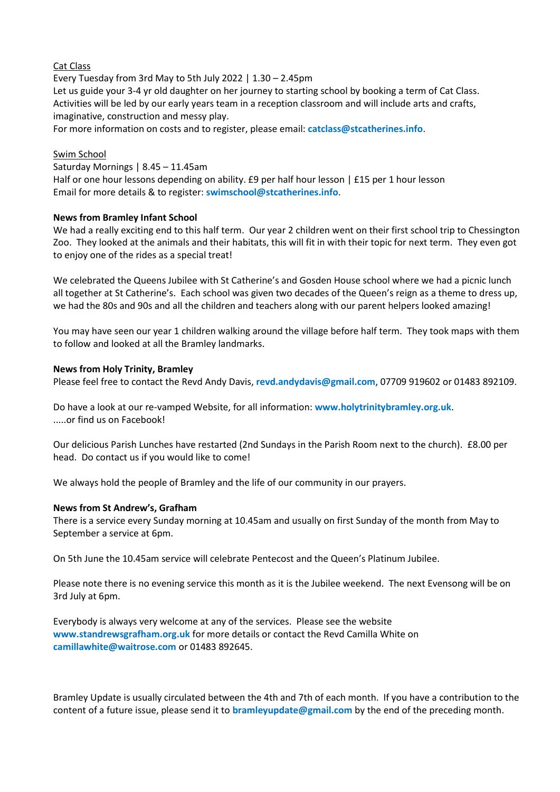#### Cat Class

Every Tuesday from 3rd May to 5th July 2022 | 1.30 – 2.45pm Let us guide your 3-4 yr old daughter on her journey to starting school by booking a term of Cat Class. Activities will be led by our early years team in a reception classroom and will include arts and crafts, imaginative, construction and messy play.

For more information on costs and to register, please email: **catclass@stcatherines.info**.

#### Swim School

#### Saturday Mornings | 8.45 – 11.45am

Half or one hour lessons depending on ability. £9 per half hour lesson | £15 per 1 hour lesson Email for more details & to register: **swimschool@stcatherines.info**.

#### **News from Bramley Infant School**

We had a really exciting end to this half term. Our year 2 children went on their first school trip to Chessington Zoo. They looked at the animals and their habitats, this will fit in with their topic for next term. They even got to enjoy one of the rides as a special treat!

We celebrated the Queens Jubilee with St Catherine's and Gosden House school where we had a picnic lunch all together at St Catherine's. Each school was given two decades of the Queen's reign as a theme to dress up, we had the 80s and 90s and all the children and teachers along with our parent helpers looked amazing!

You may have seen our year 1 children walking around the village before half term. They took maps with them to follow and looked at all the Bramley landmarks.

#### **News from Holy Trinity, Bramley**

Please feel free to contact the Revd Andy Davis, **revd.andydavis@gmail.com**, 07709 919602 or 01483 892109.

Do have a look at our re-vamped Website, for all information: **www.holytrinitybramley.org.uk**. .....or find us on Facebook!

Our delicious Parish Lunches have restarted (2nd Sundays in the Parish Room next to the church). £8.00 per head. Do contact us if you would like to come!

We always hold the people of Bramley and the life of our community in our prayers.

#### **News from St Andrew's, Grafham**

There is a service every Sunday morning at 10.45am and usually on first Sunday of the month from May to September a service at 6pm.

On 5th June the 10.45am service will celebrate Pentecost and the Queen's Platinum Jubilee.

Please note there is no evening service this month as it is the Jubilee weekend. The next Evensong will be on 3rd July at 6pm.

Everybody is always very welcome at any of the services. Please see the website **www.standrewsgrafham.org.uk** for more details or contact the Revd Camilla White on **camillawhite@waitrose.com** or 01483 892645.

Bramley Update is usually circulated between the 4th and 7th of each month. If you have a contribution to the content of a future issue, please send it to **bramleyupdate@gmail.com** by the end of the preceding month.